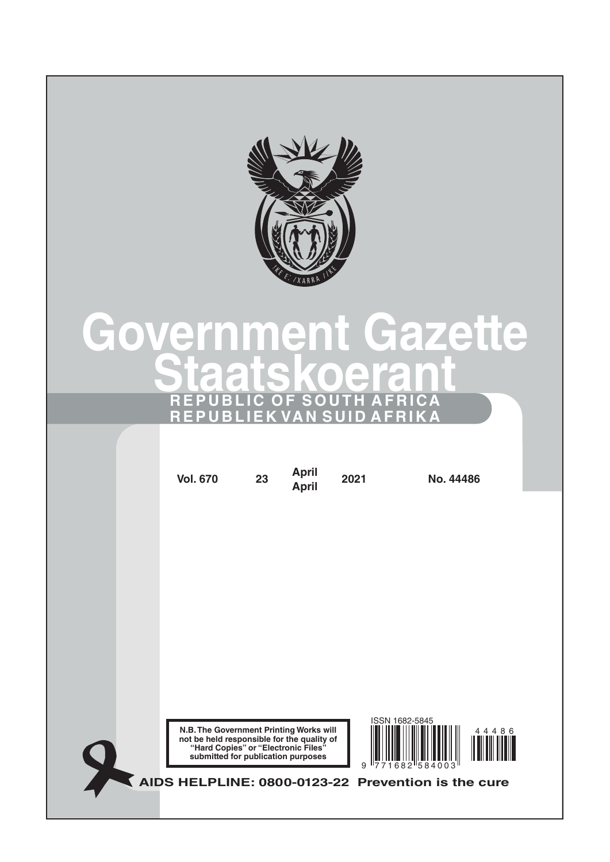

# **Government Gazette Staatskoerant REPUBLIC OF SOUTH AFRICA REPUBLIEK VAN SUID AFRIKA**

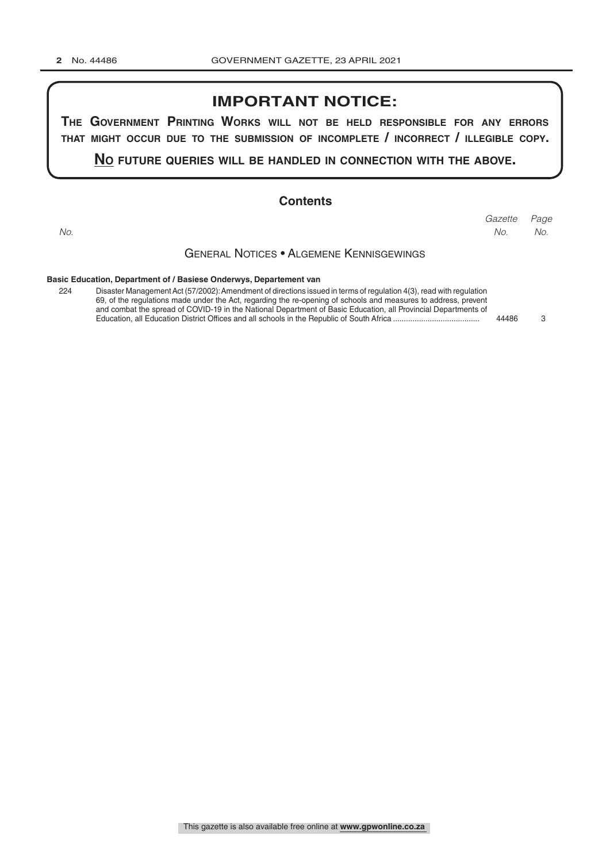## **IMPORTANT NOTICE:**

**The GovernmenT PrinTinG Works Will noT be held resPonsible for any errors ThaT miGhT occur due To The submission of incomPleTe / incorrecT / illeGible coPy.**

**no fuTure queries Will be handled in connecTion WiTh The above.**

### **Contents**

*Page Gazette*

*No.*

*No. No.*

### General [Notices • Algemene Kennisgewings](#page-2-0)

#### **[Basic Education, Department of / Basiese Onderwys, Departement van](#page-2-0)**

224 [Disaster Management Act \(57/2002\): Amendment of directions issued in terms of regulation 4\(3\), read with regulation](#page-2-0)  [69, of the regulations made under the Act, regarding the re-opening of schools and measures to address, prevent](#page-2-0)  [and combat the spread of COVID-19 in the National Department of Basic Education, all Provincial Departments of](#page-2-0)  [Education, all Education District Offices and all schools in the Republic of South Africa](#page-2-0) ........................................ 44486 3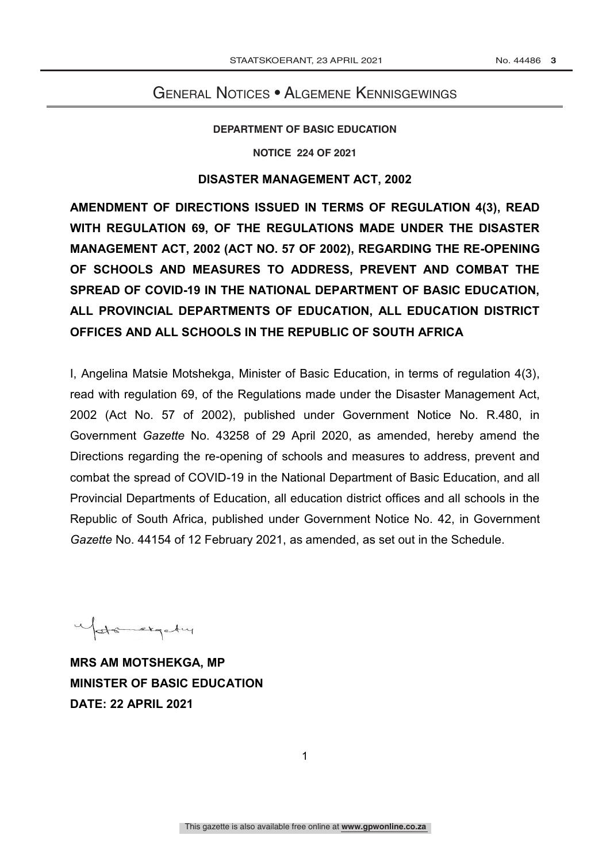## GENERAL NOTICES • ALGEMENE KENNISGEWINGS

## **DEPARTMENT OF BASIC EDUCATION DEPARTMENT OF BASIC EDUCATION**

<span id="page-2-0"></span>**NOTICE 224 OF 2021** 

#### **DISASTER MANAGEMENT ACT, 2002**

**AMENDMENT OF DIRECTIONS ISSUED IN TERMS OF REGULATION 4(3), READ WITH REGULATION 69, OF THE REGULATIONS MADE UNDER THE DISASTER MANAGEMENT ACT, 2002 (ACT NO. 57 OF 2002), REGARDING THE RE-OPENING OF SCHOOLS AND MEASURES TO ADDRESS, PREVENT AND COMBAT THE SPREAD OF COVID-19 IN THE NATIONAL DEPARTMENT OF BASIC EDUCATION, ALL PROVINCIAL DEPARTMENTS OF EDUCATION, ALL EDUCATION DISTRICT OFFICES AND ALL SCHOOLS IN THE REPUBLIC OF SOUTH AFRICA**

I, Angelina Matsie Motshekga, Minister of Basic Education, in terms of regulation 4(3), read with regulation 69, of the Regulations made under the Disaster Management Act, 2002 (Act No. 57 of 2002), published under Government Notice No. R.480, in Government *Gazette* No. 43258 of 29 April 2020, as amended, hereby amend the Directions regarding the re-opening of schools and measures to address, prevent and combat the spread of COVID-19 in the National Department of Basic Education, and all Provincial Departments of Education, all education district offices and all schools in the Republic of South Africa, published under Government Notice No. 42, in Government *Gazette* No. 44154 of 12 February 2021, as amended, as set out in the Schedule.

stemstgety

**MRS AM MOTSHEKGA, MP MINISTER OF BASIC EDUCATION DATE: 22 APRIL 2021**

1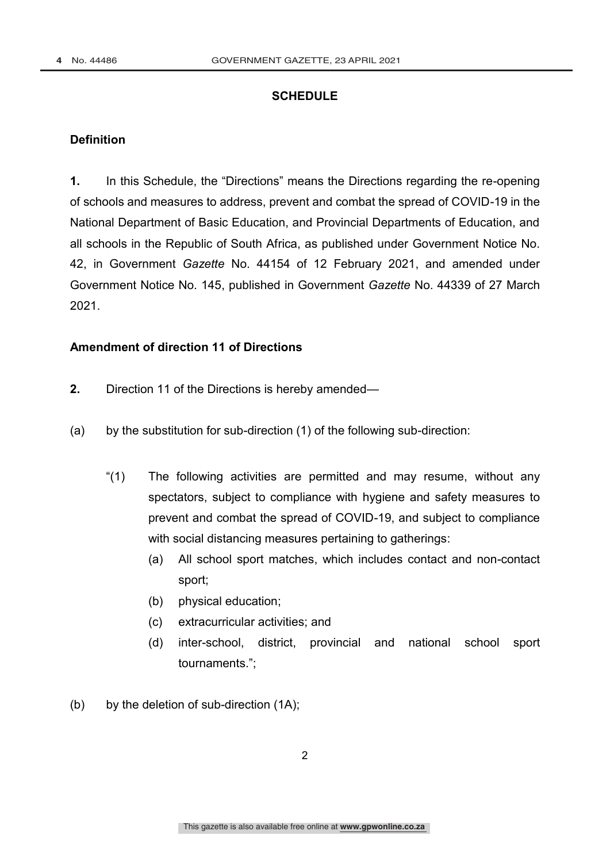## **SCHEDULE**

## **Definition**

**1.** In this Schedule, the "Directions" means the Directions regarding the re-opening of schools and measures to address, prevent and combat the spread of COVID-19 in the National Department of Basic Education, and Provincial Departments of Education, and all schools in the Republic of South Africa, as published under Government Notice No. 42, in Government *Gazette* No. 44154 of 12 February 2021, and amended under Government Notice No. 145, published in Government *Gazette* No. 44339 of 27 March 2021.

## **Amendment of direction 11 of Directions**

- **2.** Direction 11 of the Directions is hereby amended—
- (a) by the substitution for sub-direction (1) of the following sub-direction:
	- "(1) The following activities are permitted and may resume, without any spectators, subject to compliance with hygiene and safety measures to prevent and combat the spread of COVID-19, and subject to compliance with social distancing measures pertaining to gatherings:
		- (a) All school sport matches, which includes contact and non-contact sport;
		- (b) physical education;
		- (c) extracurricular activities; and
		- (d) inter-school, district, provincial and national school sport tournaments.";
- (b) by the deletion of sub-direction (1A);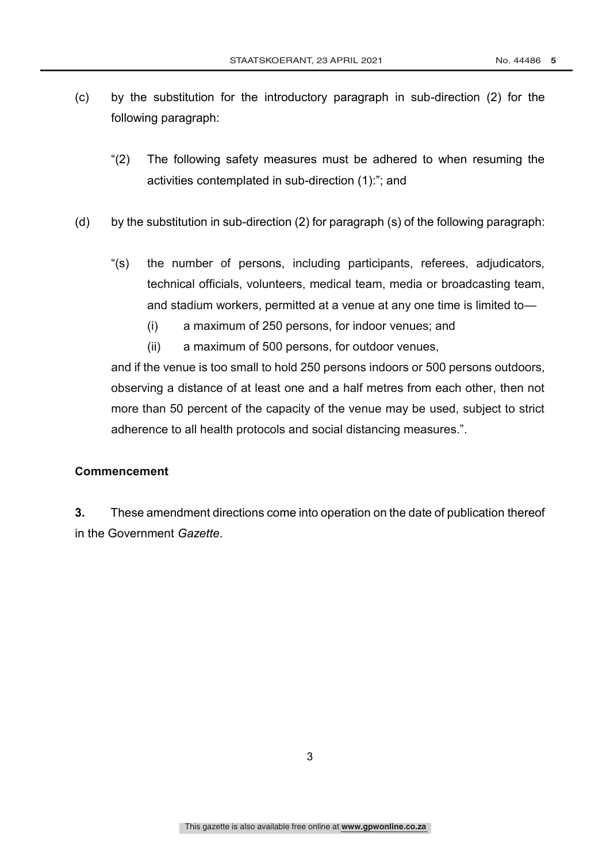- (c) by the substitution for the introductory paragraph in sub-direction (2) for the following paragraph:
	- "(2) The following safety measures must be adhered to when resuming the activities contemplated in sub-direction (1):"; and
- (d) by the substitution in sub-direction (2) for paragraph (s) of the following paragraph:
	- "(s) the number of persons, including participants, referees, adjudicators, technical officials, volunteers, medical team, media or broadcasting team, and stadium workers, permitted at a venue at any one time is limited to—
		- (i) a maximum of 250 persons, for indoor venues; and
		- (ii) a maximum of 500 persons, for outdoor venues,

and if the venue is too small to hold 250 persons indoors or 500 persons outdoors, observing a distance of at least one and a half metres from each other, then not more than 50 percent of the capacity of the venue may be used, subject to strict adherence to all health protocols and social distancing measures.".

## **Commencement**

**3.** These amendment directions come into operation on the date of publication thereof in the Government *Gazette*.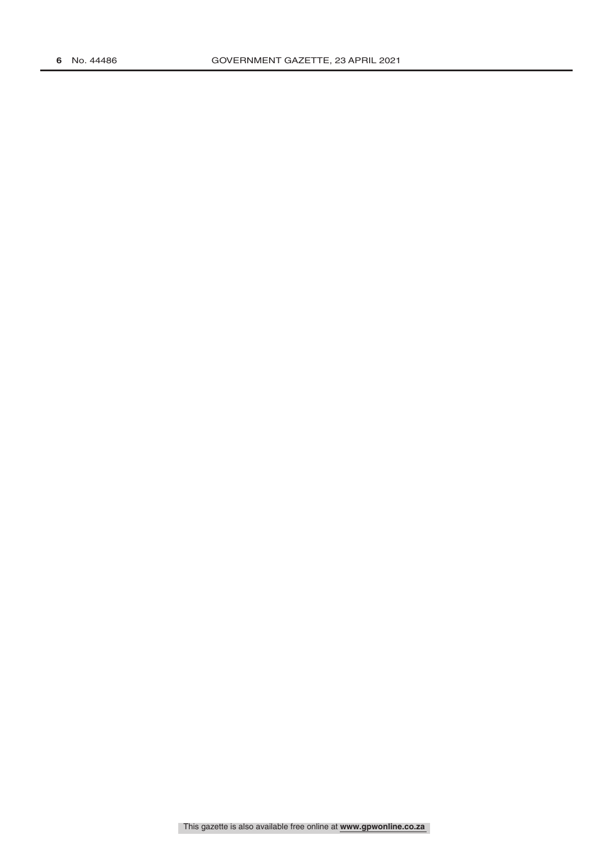This gazette is also available free online at **www.gpwonline.co.za**